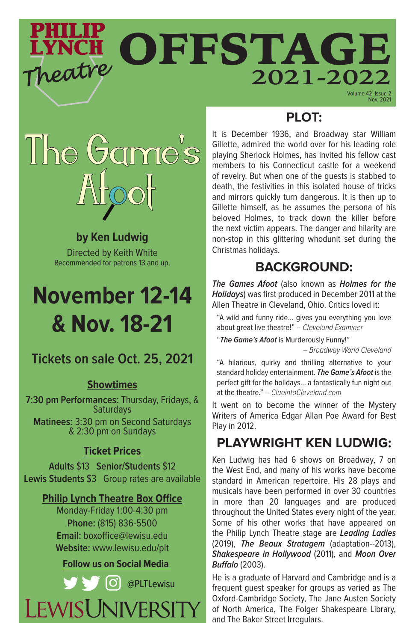# PHILIP OFFSTAGE Theatre **2021-2022**

Nov. 2021

# **PLOT:**



### **by Ken Ludwig**

Directed by Keith White Recommended for patrons 13 and up.

# **November 12-14 & Nov. 18-21**

## **Tickets on sale Oct. 25, 2021**

#### **Showtimes**

**7:30 pm Performances:** Thursday, Fridays, & **Saturdays Matinees:** 3:30 pm on Second Saturdays & 2:30 pm on Sundays

#### **Ticket Prices**

**Adults** \$13 **Senior/Students** \$12 **Lewis Students** \$3 Group rates are available

#### **Philip Lynch Theatre Box Office**

Monday-Friday 1:00-4:30 pm **Phone:** (815) 836-5500 **Email:** boxoffice@lewisu.edu **Website:** www.lewisu.edu/plt

#### **Follow us on Social Media**



It is December 1936, and Broadway star William Gillette, admired the world over for his leading role playing Sherlock Holmes, has invited his fellow cast members to his Connecticut castle for a weekend of revelry. But when one of the guests is stabbed to death, the festivities in this isolated house of tricks and mirrors quickly turn dangerous. It is then up to Gillette himself, as he assumes the persona of his beloved Holmes, to track down the killer before the next victim appears. The danger and hilarity are non-stop in this glittering whodunit set during the Christmas holidays.

## **BACKGROUND:**

**The Games Afoot** (also known as **Holmes for the Holidays**) was first produced in December 2011 at the Allen Theatre in Cleveland, Ohio. Critics loved it:

"A wild and funny ride... gives you everything you love about great live theatre!" – Cleveland Examiner

"**The Game's Afoot** is Murderously Funny!" – Broadway World Cleveland

"A hilarious, quirky and thrilling alternative to your standard holiday entertainment. **The Game's Afoot** is the perfect gift for the holidays... a fantastically fun night out at the theatre." – ClueintoCleveland.com

It went on to become the winner of the Mystery Writers of America Edgar Allan Poe Award for Best Play in 2012.

## **PLAYWRIGHT KEN LUDWIG:**

Ken Ludwig has had 6 shows on Broadway, 7 on the West End, and many of his works have become standard in American repertoire. His 28 plays and musicals have been performed in over 30 countries in more than 20 languages and are produced throughout the United States every night of the year. Some of his other works that have appeared on the Philip Lynch Theatre stage are **Leading Ladies**  (2019), **The Beaux Stratagem** (adaptation--2013), **Shakespeare in Hollywood** (2011), and **Moon Over Buffalo** (2003).

He is a graduate of Harvard and Cambridge and is a frequent guest speaker for groups as varied as The Oxford-Cambridge Society, The Jane Austen Society of North America, The Folger Shakespeare Library, and The Baker Street Irregulars.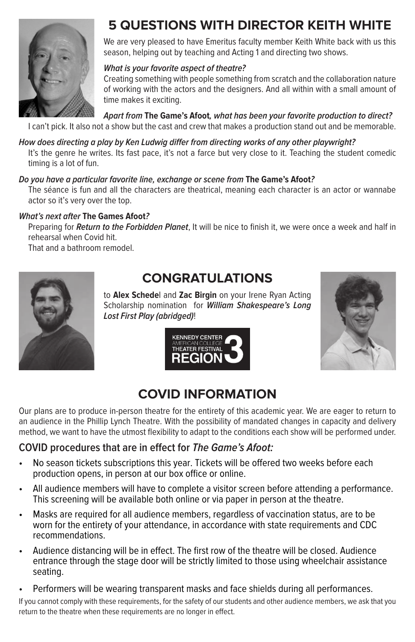

# **5 QUESTIONS WITH DIRECTOR KEITH WHITE**

We are very pleased to have Emeritus faculty member Keith White back with us this season, helping out by teaching and Acting 1 and directing two shows.

#### **What is your favorite aspect of theatre?**

Creating something with people something from scratch and the collaboration nature of working with the actors and the designers. And all within with a small amount of time makes it exciting.

**Apart from The Game's Afoot, what has been your favorite production to direct?** 

I can't pick. It also not a show but the cast and crew that makes a production stand out and be memorable.

**How does directing a play by Ken Ludwig differ from directing works of any other playwright?**  It's the genre he writes. Its fast pace, it's not a farce but very close to it. Teaching the student comedic timing is a lot of fun.

#### **Do you have a particular favorite line, exchange or scene from The Game's Afoot?**

The séance is fun and all the characters are theatrical, meaning each character is an actor or wannabe actor so it's very over the top.

#### **What's next after The Games Afoot?**

Preparing for **Return to the Forbidden Planet**, It will be nice to finish it, we were once a week and half in rehearsal when Covid hit.

That and a bathroom remodel.



# **CONGRATULATIONS**

to **Alex Schede**l and **Zac Birgin** on your Irene Ryan Acting Scholarship nomination for **William Shakespeare's Long Lost First Play (abridged)**!





## **COVID INFORMATION**

Our plans are to produce in-person theatre for the entirety of this academic year. We are eager to return to an audience in the Phillip Lynch Theatre. With the possibility of mandated changes in capacity and delivery method, we want to have the utmost flexibility to adapt to the conditions each show will be performed under.

#### **COVID procedures that are in effect for The Game's Afoot:**

- No season tickets subscriptions this year. Tickets will be offered two weeks before each production opens, in person at our box office or online.
- All audience members will have to complete a visitor screen before attending a performance. This screening will be available both online or via paper in person at the theatre.
- Masks are required for all audience members, regardless of vaccination status, are to be worn for the entirety of your attendance, in accordance with state requirements and CDC recommendations.
- Audience distancing will be in effect. The first row of the theatre will be closed. Audience entrance through the stage door will be strictly limited to those using wheelchair assistance seating.
- Performers will be wearing transparent masks and face shields during all performances.

If you cannot comply with these requirements, for the safety of our students and other audience members, we ask that you return to the theatre when these requirements are no longer in effect.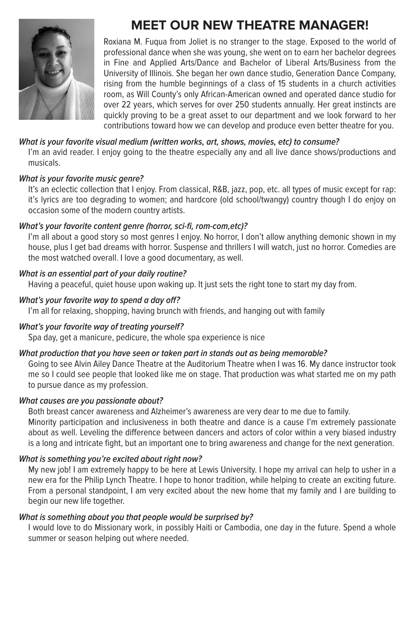

# **MEET OUR NEW THEATRE MANAGER!**

Roxiana M. Fuqua from Joliet is no stranger to the stage. Exposed to the world of professional dance when she was young, she went on to earn her bachelor degrees in Fine and Applied Arts/Dance and Bachelor of Liberal Arts/Business from the University of Illinois. She began her own dance studio, Generation Dance Company, rising from the humble beginnings of a class of 15 students in a church activities room, as Will County's only African-American owned and operated dance studio for over 22 years, which serves for over 250 students annually. Her great instincts are quickly proving to be a great asset to our department and we look forward to her contributions toward how we can develop and produce even better theatre for you.

#### **What is your favorite visual medium (written works, art, shows, movies, etc) to consume?**

I'm an avid reader. I enjoy going to the theatre especially any and all live dance shows/productions and musicals.

#### **What is your favorite music genre?**

It's an eclectic collection that I enjoy. From classical, R&B, jazz, pop, etc. all types of music except for rap: it's lyrics are too degrading to women; and hardcore (old school/twangy) country though I do enjoy on occasion some of the modern country artists.

#### **What's your favorite content genre (horror, sci-fi, rom-com,etc)?**

I'm all about a good story so most genres I enjoy. No horror, I don't allow anything demonic shown in my house, plus I get bad dreams with horror. Suspense and thrillers I will watch, just no horror. Comedies are the most watched overall. I love a good documentary, as well.

#### **What is an essential part of your daily routine?**

Having a peaceful, quiet house upon waking up. It just sets the right tone to start my day from.

#### **What's your favorite way to spend a day off?**

I'm all for relaxing, shopping, having brunch with friends, and hanging out with family

#### **What's your favorite way of treating yourself?**

Spa day, get a manicure, pedicure, the whole spa experience is nice

#### **What production that you have seen or taken part in stands out as being memorable?**

Going to see Alvin Ailey Dance Theatre at the Auditorium Theatre when I was 16. My dance instructor took me so I could see people that looked like me on stage. That production was what started me on my path to pursue dance as my profession.

#### **What causes are you passionate about?**

Both breast cancer awareness and Alzheimer's awareness are very dear to me due to family. Minority participation and inclusiveness in both theatre and dance is a cause I'm extremely passionate about as well. Leveling the difference between dancers and actors of color within a very biased industry is a long and intricate fight, but an important one to bring awareness and change for the next generation.

#### **What is something you're excited about right now?**

My new job! I am extremely happy to be here at Lewis University. I hope my arrival can help to usher in a new era for the Philip Lynch Theatre. I hope to honor tradition, while helping to create an exciting future. From a personal standpoint, I am very excited about the new home that my family and I are building to begin our new life together.

#### **What is something about you that people would be surprised by?**

I would love to do Missionary work, in possibly Haiti or Cambodia, one day in the future. Spend a whole summer or season helping out where needed.